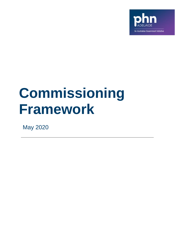

# **Commissioning Framework**

May 2020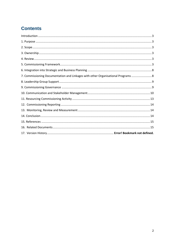# **Contents**

| 7. Commissioning Documentation and Linkages with other Organisational Programs  8 |  |
|-----------------------------------------------------------------------------------|--|
|                                                                                   |  |
|                                                                                   |  |
|                                                                                   |  |
|                                                                                   |  |
|                                                                                   |  |
|                                                                                   |  |
|                                                                                   |  |
|                                                                                   |  |
|                                                                                   |  |
|                                                                                   |  |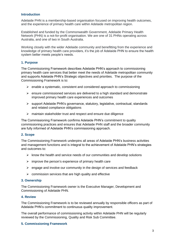#### <span id="page-2-0"></span>**Introduction**

Adelaide PHN is a membership-based organisation focused on improving health outcomes, and the experience of primary health care within Adelaide metropolitan region.

Established and funded by the Commonwealth Government, Adelaide Primary Health Network (PHN) is a not-for-profit organisation. We are one of 31 PHNs operating across Australia, and one of two in South Australia.

Working closely with the wider Adelaide community and benefitting from the experience and knowledge of primary health care providers, it's the job of Adelaide PHN to ensure the health system better meets people's needs.

#### <span id="page-2-1"></span>**1. Purpose**

The Commissioning Framework describes Adelaide PHN's approach to commissioning primary health care services that better meet the needs of Adelaide metropolitan community and supports Adelaide PHN's Strategic objectives and priorities. The purpose of the Commissioning Framework is to:

- $\triangleright$  enable a systematic, consistent and considered approach to commissioning
- ➢ ensure commissioned services are delivered to a high standard and demonstrate improved primary health care experiences and outcomes
- ➢ support Adelaide PHN's governance, statutory, legislative, contractual, standards and related compliance obligations
- ➢ maintain stakeholder trust and respect and ensure due diligence

The Commissioning Framework confirms Adelaide PHN's commitment to quality commissioning practices and ensures that Adelaide PHN staff and the broader community are fully informed of Adelaide PHN's commissioning approach.

#### <span id="page-2-2"></span>**2. Scope**

The Commissioning Framework underpins all areas of Adelaide PHN's business activities and management functions and is integral to the achievement of Adelaide PHN's strategies and outcomes to:

- $\triangleright$  know the health and service needs of our communities and develop solutions
- $\triangleright$  improve the person's experience of primary health care
- $\triangleright$  engage and involve our community in the design of services and feedback
- $\triangleright$  commission services that are high quality and effective

#### <span id="page-2-3"></span>**3. Ownership**

The Commissioning Framework owner is the Executive Manager, Development and Commissioning of Adelaide PHN.

#### <span id="page-2-4"></span>**4. Review**

The Commissioning Framework is to be reviewed annually by responsible officers as part of Adelaide PHN's commitment to continuous quality improvement.

The overall performance of commissioning activity within Adelaide PHN will be regularly reviewed by the Commissioning, Quality and Risk Sub Committee.

#### <span id="page-2-5"></span>**5. Commissioning Framework**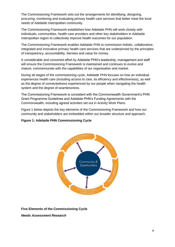The Commissioning Framework sets out the arrangements for identifying, designing, procuring, monitoring and evaluating primary health care services that better meet the local needs of Adelaide metropolitan community.

The Commissioning Framework establishes how Adelaide PHN will work closely with individuals, communities, health care providers and other key stakeholders in Adelaide metropolitan region to collectively improve health outcomes for our population.

The Commissioning Framework enables Adelaide PHN to commission holistic, collaborative, integrated and innovative primary health care services that are underpinned by the principles of transparency, accountability, fairness and value for money.

A considerable and concerted effort by Adelaide PHN's leadership, management and staff will ensure the Commissioning Framework is maintained and continues to evolve and mature, commensurate with the capabilities of our organisation and market.

During all stages of the commissioning cycle, Adelaide PHN focuses on how an individual experiences health care (including access to care, its efficiency and effectiveness), as well as the degree of connectedness experienced by our people when navigating the health system and the degree of seamlessness.

The Commissioning Framework is consistent with the Commonwealth Government's PHN Grant Programme Guidelines and Adelaide PHN's Funding Agreements with the Commonwealth, including agreed activities set out in Activity Work Plans.

Figure 1 below depicts the key elements of the Commissioning Framework and how our community and stakeholders are embedded within our broader structure and approach.

# **Figure 1: Adelaide PHN Commissioning Cycle**



**Five Elements of the Commissioning Cycle**

*Needs Assessment Research*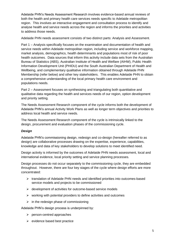Adelaide PHN's Needs Assessment Research involves evidence-based annual reviews of both the health and primary health care services needs specific to Adelaide metropolitan region. This involves an interactive engagement and consultation process to identify and analyse health and service needs across the region and informs the priorities and activities to address those needs.

Adelaide PHN needs assessment consists of two distinct parts: Analysis and Assessment.

Part 1 – Analysis specifically focuses on the examination and documentation of health and service needs within Adelaide metropolitan region, including service and workforce mapping, market analysis, demographics, health determinants and populations most of risk of poor health outcomes. Data sources that inform this activity include data sets from the Australian Bureau of Statistics (ABS), Australian Institute of Health and Welfare (AIHW), Public Health Information Development Unit (PHIDU) and the South Australian Department of Health and Wellbeing, and complementary qualitative information obtained through Adelaide PHN Membership (refer below) and other key stakeholders. This enables Adelaide PHN to obtain a comprehensive understanding of the local primary health care environment and populations needs.

Part 2 – Assessment focuses on synthesising and triangulating both quantitative and qualitative data regarding the health and services needs of our region, option development and priority setting.

The Needs Assessment Research component of the cycle informs both the development of Adelaide PHN's annual Activity Work Plans as well as longer term objectives and priorities to address local health and service needs.

The Needs Assessment Research component of the cycle is intrinsically linked to the design, procurement and evaluation phases of the commissioning cycle.

# *Design*

Adelaide PHN's commissioning design, redesign and co-design (hereafter referred to as design) are collaborative processes drawing on the expertise, experience, capabilities, knowledge and data of key stakeholders to develop solutions to meet identified need.

Design activity is informed by the outcomes of Adelaide PHN needs assessment, local and international evidence, local priority setting and service planning processes.

Design processes do not occur separately to the commissioning cycle, they are embedded throughout. However, there are four key stages of the cycle where design efforts are more concentrated:

- ➢ translation of Adelaide PHN needs and identified priorities into outcomes-based service models and projects to be commissioned
- ➢ development of activities for outcome-based service models
- ➢ working with potential providers to define activities and outcomes
- $\triangleright$  in the redesign phase of commissioning

Adelaide PHN's design process is underpinned by:

- ➢ person-centred approaches
- $\triangleright$  evidence based best practice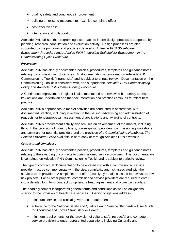- $\triangleright$  quality, safety and continuous improvement
- ➢ building on existing resources to maximise combined effect
- ➢ cost-effectiveness
- $\triangleright$  integration and collaboration

Adelaide PHN utilises the program logic approach to inform design processes supported by planning, research, consultation and evaluation activity. Design processes are also supported by the principles and practices detailed in *Adelaide PHN Stakeholder Engagement Procedure* and *Adelaide PHN Integrating Stakeholder Engagement in the Commissioning Cycle Procedure*.

#### *Procurement*

Adelaide PHN has clearly documented policies, procedures, templates and guidance notes relating to commissioning of services. All documentation is contained on Adelaide PHN Commissioning Toolkit (intranet site) and is subject to annual review. Documentation on the Commissioning Toolkit is consistent with, and supports the, *Adelaide PHN Commissioning Policy* and *Adelaide PHN Commissioning Procedure*.

A Continuous Improvement Register is also maintained and reviewed bi-monthly to ensure key actions are undertaken and that documentation and practice continues to reflect best practice.

Adelaide PHN's approaches to market activities are conducted in accordance with documented practice, including in relation to the issuing, advertising and administration of requests for tender/proposal, assessment of applications and awarding of contracts.

Adelaide PHN's procurement activity also focuses on development of the market, including through the provision of industry briefs, co-design with providers, commissioning workshops and seminars for potential providers and the provision of a *Commissioning Handbook: The Service Providers Guide* available in hard copy or through Adelaide PHN's website.

#### *Contracts and Compliance*

Adelaide PHN has clearly documented policies, procedures, templates and guidance notes relating to the awarding of contracts to commissioned service providers. This documentation is contained on Adelaide PHN Commissioning Toolkit and is subject to periodic review.

The type of contractual documentation to be entered into with a commissioned service provider must be commensurate with the size, complexity and risk associated with the services to be provided. A simple letter of offer (usually by email) is issued for low value, low risk projects. For all other projects, commissioned service providers are required to enter into a detailed long form contract comprising a head agreement and project schedule/s.

The head agreement incorporates general terms and conditions as well as obligations specific to the provision of health care services. Specific obligations address:

- ➢ minimum service and clinical governance requirements
- ➢ adherence to the National Safety and Quality Health Service Standards User Guide for Aboriginal and Torres Strait Islander Health
- $\triangleright$  minimum requirements for the provision of cultural safe, respectful and competent service provision to underrepresented populations including Culturally and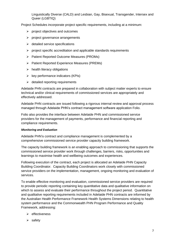Linguistically Diverse (CALD) and Lesbian, Gay, Bisexual, Transgender, Intersex and Queer (LGBTIQ)

Project Schedules incorporate project specific requirements, including at a minimum:

- $\triangleright$  project objectives and outcomes
- $\triangleright$  project governance arrangements
- $\triangleright$  detailed service specifications
- $\triangleright$  project specific accreditation and applicable standards requirements
- ➢ Patient Reported Outcome Measures (PROMs)
- ➢ Patient Reported Experience Measures (PREMs)
- $\triangleright$  health literacy obligations
- $\triangleright$  key performance indicators (KPIs)
- $\triangleright$  detailed reporting requirements

Adelaide PHN contracts are prepared in collaboration with subject matter experts to ensure technical and/or clinical requirements of commissioned services are appropriately and effectively addressed.

Adelaide PHN contracts are issued following a rigorous internal review and approval process managed through Adelaide PHN's contract management software application Folio.

Folio also provides the interface between Adelaide PHN and commissioned service providers for the management of payments, performance and financial reporting and compliance requirements.

#### *Monitoring and Evaluation*

Adelaide PHN's contract and compliance management is complemented by a comprehensive commissioned service provider capacity building framework.

The capacity building framework is an enabling approach to commissioning that supports the commissioned service provider work through challenges, barriers, risks, opportunities and learnings to maximise health and wellbeing outcomes and experiences.

Following execution of the contract, each project is allocated an Adelaide PHN Capacity Building Coordinator. Capacity Building Coordinators work closely with commissioned service providers on the implementation, management, ongoing monitoring and evaluation of services.

To enable effective monitoring and evaluation, commissioned service providers are required to provide periodic reporting containing key quantitative data and qualitative information on which to assess and evaluate their performance throughout the project period. Quantitative and qualitative reporting requirements included in Adelaide PHN contracts are informed by the Australian Health Performance Framework Health Systems Dimensions relating to health system performance and the Commonwealth PHN Program Performance and Quality Framework, addressing:

- ➢ effectiveness
- ➢ safety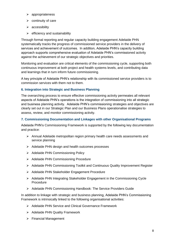- ➢ appropriateness
- $\triangleright$  continuity of care
- ➢ accessibility
- $\triangleright$  efficiency and sustainability

Through formal reporting and regular capacity building engagement Adelaide PHN systematically tracks the progress of commissioned service providers in the delivery of services and achievement of outcomes. In addition, Adelaide PHN's capacity building approach supports comprehensive evaluation of Adelaide PHN's commissioned activity against the achievement of our strategic objectives and priorities.

Monitoring and evaluation are critical elements of the commissioning cycle, supporting both continuous improvement at both project and health systems levels, and contributing data and learnings that in turn inform future commissioning.

A key principle of Adelaide PHN's relationship with its commissioned service providers is to commission services with them not to them.

# <span id="page-7-0"></span>**6. Integration into Strategic and Business Planning**

The overarching process to ensure effective commissioning activity permeates all relevant aspects of Adelaide PHN's operations is the integration of commissioning into all strategic and business planning activity. Adelaide PHN's commissioning strategies and objectives are clearly set out in our Strategic Plan and our Business Plans operationalise strategies to assess, review, and monitor commissioning activity.

# <span id="page-7-1"></span>**7. Commissioning Documentation and Linkages with other Organisational Programs**

Adelaide PHN's Commissioning Framework is supported by the following key documentation and practice:

- ➢ Annual Adelaide metropolitan region primary health care needs assessments and service planning
- ➢ Adelaide PHN design and health outcomes processes
- ➢ Adelaide PHN Commissioning Policy
- ➢ Adelaide PHN Commissioning Procedure
- ➢ Adelaide PHN Commissioning Toolkit and Continuous Quality Improvement Register
- ➢ Adelaide PHN Stakeholder Engagement Procedure
- ➢ Adelaide PHN Integrating Stakeholder Engagement in the Commissioning Cycle Procedure
- ➢ Adelaide PHN Commissioning Handbook: The Service Providers Guide

In addition to linkage with strategic and business planning, Adelaide PHN's Commissioning Framework is intrinsically linked to the following organisational activities:

- ➢ Adelaide PHN Service and Clinical Governance Framework
- ➢ Adelaide PHN Quality Framework
- ➢ Financial Management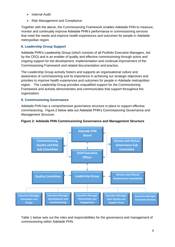- ➢ Internal Audit
- ➢ Risk Management and Compliance

Together with the above, the Commissioning Framework enables Adelaide PHN to measure, monitor and continually improve Adelaide PHN's performance in commissioning services that meet the needs and improve health experiences and outcomes for people in Adelaide metropolitan region.

# <span id="page-8-0"></span>**8. Leadership Group Support**

Adelaide PHN's Leadership Group (which consists of all Portfolio Executive Managers, led by the CEO) and is an enabler of quality and effective commissioning through active and ongoing support for the development, implementation and continual improvement of the Commissioning Framework and related documentation and practice.

The Leadership Group actively fosters and supports an organisational culture and awareness of commissioning and its importance in achieving our strategic objectives and priorities to improve health experiences and outcomes for people in Adelaide metropolitan region. The Leadership Group provides unqualified support for the Commissioning Framework and actively demonstrates and communicates that support throughout the organisation.

# <span id="page-8-1"></span>**9. Commissioning Governance**

Adelaide PHN has a comprehensive governance structure in place to support effective commissioning. Figure 2 below sets out Adelaide PHN's Commissioning Governance and Management Structure.



#### **Figure 2: Adelaide PHN Commissioning Governance and Management Structure**

Table 1 below sets out the roles and responsibilities for the governance and management of commissioning within Adelaide PHN.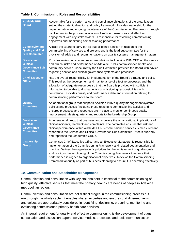# **Table 1: Commissioning Roles and Responsibilities**

| <b>Adelaide PHN</b><br><b>Board</b>                                            | Accountable for the performance and compliance obligations of the organisation,<br>setting the strategic direction and policy framework. Provides leadership for the<br>implementation and ongoing maintenance of the Commissioning Framework through<br>involvement in the process, allocation of sufficient resources and effective<br>engagement with key stakeholders. Is responsible for reviewing commissioning<br>objectives and monitoring commissioning performance.                                     |
|--------------------------------------------------------------------------------|-------------------------------------------------------------------------------------------------------------------------------------------------------------------------------------------------------------------------------------------------------------------------------------------------------------------------------------------------------------------------------------------------------------------------------------------------------------------------------------------------------------------|
| <b>Commissioning,</b><br><b>Quality and Risk</b><br><b>Sub Committee</b>       | Assists the Board to carry out its due diligence function in relation to the<br>commissioning of services and projects and is the lead subcommittee for the<br>provision of advice and recommendations on quality systems management matters.                                                                                                                                                                                                                                                                     |
| <b>Service and</b><br><b>Clinical</b><br>Governance Sub<br><b>Committee</b>    | Provides review, advice and recommendations to Adelaide PHN CEO on the service<br>and clinical risks and performance of Adelaide PHN's commissioned health and<br>community service. Concurrently the Sub Committee provides the Board with advice<br>regarding service and clinical governance systems and processes.                                                                                                                                                                                            |
| <b>Chief Executive</b><br><b>Officer</b>                                       | Has the overall responsibility for implementation of the Board's strategy and policy.<br>This requires the development and maintenance of effective processes and the<br>allocation of adequate resources so that the Board is provided with sufficient<br>information to be able to discharge its commissioning responsibilities with<br>confidence. Provides quality and performance data and information relating to<br>commissioning performance to the Board.                                                |
| <b>Quality</b><br><b>Committee</b>                                             | An operational group that supports Adelaide PHN's quality management systems,<br>policies and practices (including those relating to commissioning activity) and<br>ensures processes and resources are in place to monitor continuous quality<br>improvement. Meets quarterly and reports to the Leadership Group.                                                                                                                                                                                               |
| <b>Service and</b><br><b>Clinical</b><br><b>Governance</b><br><b>Committee</b> | An operational group that oversees and monitors the organisational implications of<br>clinical incidents, feedback and complaints. The committee ensures that risk and<br>clinical performance within Adelaide PHN's commissioned services is measured and<br>reported to the Service and Clinical Governance Sub Committee. Meets quarterly<br>and reports to the Leadership Group.                                                                                                                              |
| Leadership<br><b>Group</b>                                                     | Comprises Chief Executive Officer and all Executive Managers. Is responsible for<br>implementation of the Commissioning Framework and related documentation and<br>practice. Defines the organisation's priorities for the achievement of quality goals<br>and monitors the functioning of the Commissioning Framework to ensure that<br>performance is aligned to organisational objectives. Reviews the Commissioning<br>Framework annually as part of business planning to ensure it is operating effectively. |

# <span id="page-9-0"></span>**10. Communication and Stakeholder Management**

Communication and consultation with key stakeholders is essential to the commissioning of high quality, effective services that meet the primary health care needs of people in Adelaide metropolitan region.

Communication and consultation are not distinct stages in the commissioning process but run through the whole cycle. It enables shared expertise and ensures that different views and voices are appropriately considered in identifying, designing, procuring, monitoring and evaluating commissioned primary health care services.

An integral requirement for quality and effective commissioning is the development of plans, consultation and discussion papers, service models, processes and tools (communication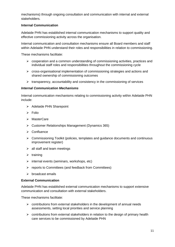mechanisms) through ongoing consultation and communication with internal and external stakeholders.

# **Internal Communication**

Adelaide PHN has established internal communication mechanisms to support quality and effective commissioning activity across the organisation.

Internal communication and consultation mechanisms ensure all Board members and staff within Adelaide PHN understand their roles and responsibilities in relation to commissioning.

These mechanisms facilitate:

- ➢ cooperation and a common understanding of commissioning activities, practices and individual staff roles and responsibilities throughout the commissioning cycle
- $\triangleright$  cross-organisational implementation of commissioning strategies and actions and shared ownership of commissioning outcomes
- ➢ transparency, accountability and consistency in the commissioning of services

# *Internal Communication Mechanisms*

Internal communication mechanisms relating to commissioning activity within Adelaide PHN include:

- ➢ Adelaide PHN Sharepoint
- ➢ Folio
- ➢ MasterCare
- ➢ Customer Relationships Management (Dynamics 365)
- ➢ Confluence
- $\triangleright$  Commissioning Toolkit (policies, templates and guidance documents and continuous improvement register)
- $\triangleright$  all staff and team meetings
- $\triangleright$  training
- $\triangleright$  internal events (seminars, workshops, etc)
- ➢ reports to Committees (and feedback from Committees)
- ➢ broadcast emails

#### **External Communication**

Adelaide PHN has established external communication mechanisms to support extensive communication and consultation with external stakeholders.

These mechanisms facilitate:

- $\triangleright$  contributions from external stakeholders in the development of annual needs assessments, setting local priorities and service planning
- $\triangleright$  contributions from external stakeholders in relation to the design of primary health care services to be commissioned by Adelaide PHN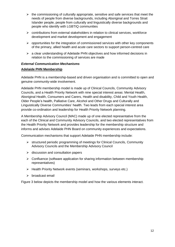- $\triangleright$  the commissioning of culturally appropriate, sensitive and safe services that meet the needs of people from diverse backgrounds, including Aboriginal and Torres Strait Islander people, people from culturally and linguistically diverse backgrounds and people who identify with LGBTIQ communities
- ➢ contributions from external stakeholders in relation to clinical services, workforce development and market development and engagement
- $\triangleright$  opportunities for the integration of commissioned services with other key components of the primary, allied health and acute care sectors to support person-centred care
- $\geq$  a clear understanding of Adelaide PHN objectives and how informed decisions in relation to the commissioning of services are made

# *External Communication Mechanisms*

# **Adelaide PHN Membership**

Adelaide PHN is a membership-based and driven organisation and is committed to open and genuine community-wide involvement.

Adelaide PHN membership model is made up of Clinical Councils, Community Advisory Councils, and a Health Priority Network with nine special interest areas: Mental Health, Aboriginal Health, Consumers and Carers, Health and disability, Child and Youth Health, Older People's health, Palliative Care, Alcohol and Other Drugs and Culturally and Linguistically Diverse Communities' health. Two leads from each special interest area provide co-ordination and leadership for Health Priority Network planning.

A Membership Advisory Council (MAC) made up of one elected representative from the each of the Clinical and Community Advisory Councils, and two elected representatives from the Health Priority Network and provides leadership for the membership structure and informs and advises Adelaide PHN Board on community experiences and expectations.

Communication mechanisms that support Adelaide PHN membership include:

- ➢ structured periodic programming of meetings for Clinical Councils, Community Advisory Councils and the Membership Advisory Council
- $\triangleright$  discussion and consultation papers
- $\triangleright$  Confluence (software application for sharing information between membership representatives)
- ➢ Health Priority Network events (seminars, workshops, surveys etc.)
- ➢ broadcast email

Figure 3 below depicts the membership model and how the various elements interact.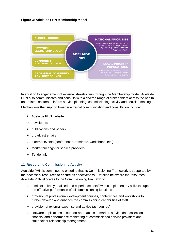# **Figure 3: Adelaide PHN Membership Model**



In addition to engagement of external stakeholders through the Membership model, Adelaide PHN also communicates and consults with a diverse range of stakeholders across the health and related sectors to inform service planning, commissioning activity and decision making.

Mechanisms that support broader external communication and consultation include:

- ➢ Adelaide PHN website
- ➢ newsletters
- $\triangleright$  publications and papers
- ➢ broadcast emails
- ➢ external events (conferences, seminars, workshops, etc.)
- $\triangleright$  Market briefings for service providers
- ➢ Tenderlink

#### <span id="page-12-0"></span>**11. Resourcing Commissioning Activity**

Adelaide PHN is committed to ensuring that its Commissioning Framework is supported by the necessary resources to ensure its effectiveness. Detailed below are the resources Adelaide PHN allocates to the Commissioning Framework:

- $\triangleright$  a mix of suitably qualified and experienced staff with complementary skills to support the effective performance of all commissioning functions
- ➢ provision of professional development courses, conferences and workshops to further develop and enhance the commissioning capabilities of staff
- $\triangleright$  provision of external expertise and advice (as required)
- $\triangleright$  software applications to support approaches to market, service data collection, financial and performance monitoring of commissioned service providers and stakeholder relationship management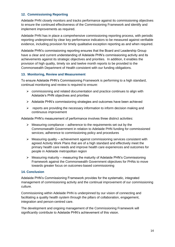# <span id="page-13-0"></span>**12. Commissioning Reporting**

Adelaide PHN closely monitors and tracks performance against its commissioning objectives to ensure the continued effectiveness of the Commissioning Framework and identify and implement improvements as required.

Adelaide PHN has in place a comprehensive commissioning reporting process, with periodic reporting underpinned by clear key performance indicators to be measured against verifiable evidence, including provision for timely qualitative exception reporting as and when required.

Adelaide PHN's commissioning reporting ensures that the Board and Leadership Group have a clear and current understanding of Adelaide PHN's commissioning activity and its achievements against its strategic objectives and priorities. In addition, it enables the provision of high quality, timely six and twelve month reports to be provided to the Commonwealth Department of Health consistent with our funding obligations.

#### <span id="page-13-1"></span>**13. Monitoring, Review and Measurement**

To ensure Adelaide PHN's Commissioning Framework is performing to a high standard, continual monitoring and review is required to ensure:

- $\triangleright$  commissioning and related documentation and practice continues to align with Adelaide's PHN objectives and priorities
- ➢ Adelaide PHN's commissioning strategies and outcomes have been achieved
- $\triangleright$  reports are providing the necessary information to inform decision making and continuous improvement

Adelaide PHN's measurement of performance involves three distinct activities:

- $\triangleright$  Measuring compliance adherence to the requirements set out by the Commonwealth Government in relation to Adelaide PHN funding for commissioned services; adherence to commissioning policy and procedures
- $\triangleright$  Measuring quality achievement against commissioning services consistent with agreed Activity Work Plans that are of a high standard and effectively meet the primary health care needs and improve health care experiences and outcomes for people in Adelaide metropolitan region
- $\triangleright$  Measuring maturity measuring the maturity of Adelaide PHN's Commissioning Framework against the Commonwealth Government objectives for PHNs to move towards greater focus on outcomes-based commissioning

#### <span id="page-13-2"></span>**14. Conclusion**

Adelaide PHN's Commissioning Framework provides for the systematic, integrated management of commissioning activity and the continual improvement of our commissioning culture.

Commissioning within Adelaide PHN is underpinned by our vision of connecting and facilitating a quality health system through the pillars of collaboration, engagement, integration and person-centred care.

The development and ongoing management of the Commissioning Framework will significantly contribute to Adelaide PHN's achievement of this vision.